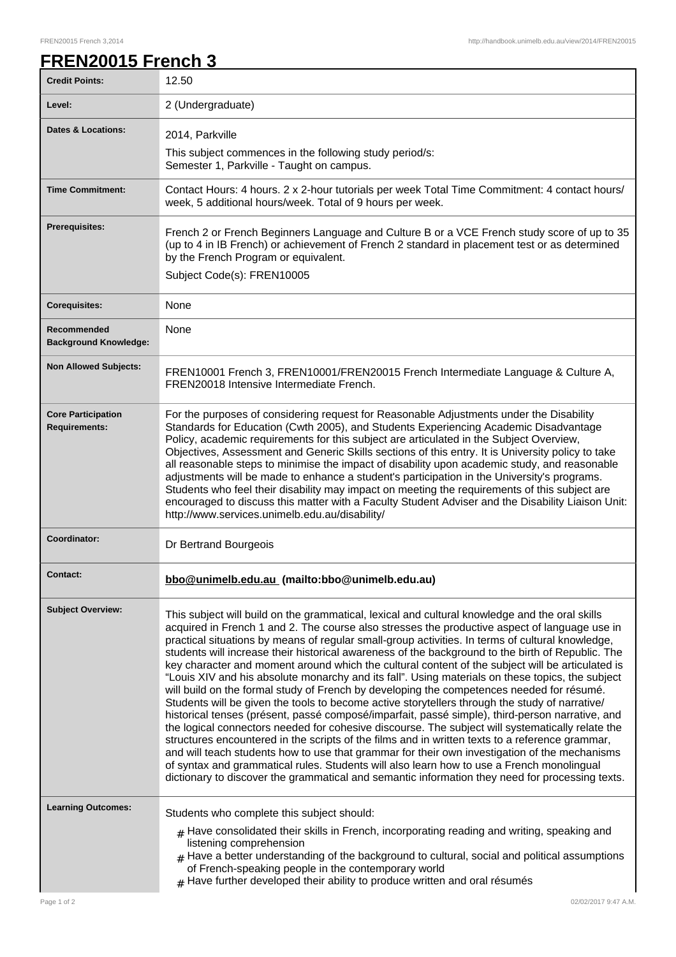## **FREN20015 French 3**

| <b>Credit Points:</b>                             | 12.50                                                                                                                                                                                                                                                                                                                                                                                                                                                                                                                                                                                                                                                                                                                                                                                                                                                                                                                                                                                                                                                                                                                                                                                                                                                                                                                                                                                                                      |
|---------------------------------------------------|----------------------------------------------------------------------------------------------------------------------------------------------------------------------------------------------------------------------------------------------------------------------------------------------------------------------------------------------------------------------------------------------------------------------------------------------------------------------------------------------------------------------------------------------------------------------------------------------------------------------------------------------------------------------------------------------------------------------------------------------------------------------------------------------------------------------------------------------------------------------------------------------------------------------------------------------------------------------------------------------------------------------------------------------------------------------------------------------------------------------------------------------------------------------------------------------------------------------------------------------------------------------------------------------------------------------------------------------------------------------------------------------------------------------------|
| Level:                                            | 2 (Undergraduate)                                                                                                                                                                                                                                                                                                                                                                                                                                                                                                                                                                                                                                                                                                                                                                                                                                                                                                                                                                                                                                                                                                                                                                                                                                                                                                                                                                                                          |
| <b>Dates &amp; Locations:</b>                     | 2014, Parkville<br>This subject commences in the following study period/s:<br>Semester 1, Parkville - Taught on campus.                                                                                                                                                                                                                                                                                                                                                                                                                                                                                                                                                                                                                                                                                                                                                                                                                                                                                                                                                                                                                                                                                                                                                                                                                                                                                                    |
| <b>Time Commitment:</b>                           | Contact Hours: 4 hours. 2 x 2-hour tutorials per week Total Time Commitment: 4 contact hours/<br>week, 5 additional hours/week. Total of 9 hours per week.                                                                                                                                                                                                                                                                                                                                                                                                                                                                                                                                                                                                                                                                                                                                                                                                                                                                                                                                                                                                                                                                                                                                                                                                                                                                 |
| <b>Prerequisites:</b>                             | French 2 or French Beginners Language and Culture B or a VCE French study score of up to 35<br>(up to 4 in IB French) or achievement of French 2 standard in placement test or as determined<br>by the French Program or equivalent.                                                                                                                                                                                                                                                                                                                                                                                                                                                                                                                                                                                                                                                                                                                                                                                                                                                                                                                                                                                                                                                                                                                                                                                       |
|                                                   | Subject Code(s): FREN10005                                                                                                                                                                                                                                                                                                                                                                                                                                                                                                                                                                                                                                                                                                                                                                                                                                                                                                                                                                                                                                                                                                                                                                                                                                                                                                                                                                                                 |
| <b>Corequisites:</b>                              | None                                                                                                                                                                                                                                                                                                                                                                                                                                                                                                                                                                                                                                                                                                                                                                                                                                                                                                                                                                                                                                                                                                                                                                                                                                                                                                                                                                                                                       |
| Recommended<br><b>Background Knowledge:</b>       | None                                                                                                                                                                                                                                                                                                                                                                                                                                                                                                                                                                                                                                                                                                                                                                                                                                                                                                                                                                                                                                                                                                                                                                                                                                                                                                                                                                                                                       |
| <b>Non Allowed Subjects:</b>                      | FREN10001 French 3, FREN10001/FREN20015 French Intermediate Language & Culture A,<br>FREN20018 Intensive Intermediate French.                                                                                                                                                                                                                                                                                                                                                                                                                                                                                                                                                                                                                                                                                                                                                                                                                                                                                                                                                                                                                                                                                                                                                                                                                                                                                              |
| <b>Core Participation</b><br><b>Requirements:</b> | For the purposes of considering request for Reasonable Adjustments under the Disability<br>Standards for Education (Cwth 2005), and Students Experiencing Academic Disadvantage<br>Policy, academic requirements for this subject are articulated in the Subject Overview,<br>Objectives, Assessment and Generic Skills sections of this entry. It is University policy to take<br>all reasonable steps to minimise the impact of disability upon academic study, and reasonable<br>adjustments will be made to enhance a student's participation in the University's programs.<br>Students who feel their disability may impact on meeting the requirements of this subject are<br>encouraged to discuss this matter with a Faculty Student Adviser and the Disability Liaison Unit:<br>http://www.services.unimelb.edu.au/disability/                                                                                                                                                                                                                                                                                                                                                                                                                                                                                                                                                                                    |
| Coordinator:                                      | Dr Bertrand Bourgeois                                                                                                                                                                                                                                                                                                                                                                                                                                                                                                                                                                                                                                                                                                                                                                                                                                                                                                                                                                                                                                                                                                                                                                                                                                                                                                                                                                                                      |
| <b>Contact:</b>                                   | bbo@unimelb.edu.au (mailto:bbo@unimelb.edu.au)                                                                                                                                                                                                                                                                                                                                                                                                                                                                                                                                                                                                                                                                                                                                                                                                                                                                                                                                                                                                                                                                                                                                                                                                                                                                                                                                                                             |
| <b>Subject Overview:</b>                          | This subject will build on the grammatical, lexical and cultural knowledge and the oral skills<br>acquired in French 1 and 2. The course also stresses the productive aspect of language use in<br>practical situations by means of regular small-group activities. In terms of cultural knowledge,<br>students will increase their historical awareness of the background to the birth of Republic. The<br>key character and moment around which the cultural content of the subject will be articulated is<br>"Louis XIV and his absolute monarchy and its fall". Using materials on these topics, the subject<br>will build on the formal study of French by developing the competences needed for résumé.<br>Students will be given the tools to become active storytellers through the study of narrative/<br>historical tenses (présent, passé composé/imparfait, passé simple), third-person narrative, and<br>the logical connectors needed for cohesive discourse. The subject will systematically relate the<br>structures encountered in the scripts of the films and in written texts to a reference grammar,<br>and will teach students how to use that grammar for their own investigation of the mechanisms<br>of syntax and grammatical rules. Students will also learn how to use a French monolingual<br>dictionary to discover the grammatical and semantic information they need for processing texts. |
| <b>Learning Outcomes:</b>                         | Students who complete this subject should:<br>$#$ Have consolidated their skills in French, incorporating reading and writing, speaking and<br>listening comprehension<br>$#$ Have a better understanding of the background to cultural, social and political assumptions<br>of French-speaking people in the contemporary world<br>$#$ Have further developed their ability to produce written and oral résumés                                                                                                                                                                                                                                                                                                                                                                                                                                                                                                                                                                                                                                                                                                                                                                                                                                                                                                                                                                                                           |